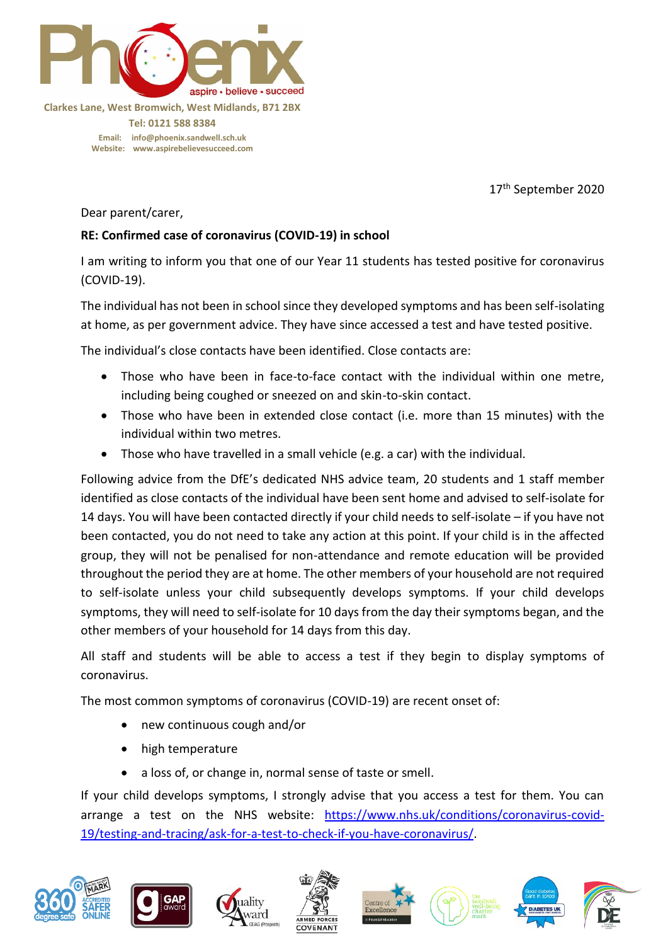

**Clarkes Lane, West Bromwich, West Midlands, B71 2BX Tel: 0121 588 8384 Email: [info@phoenix.sandwell.sch.uk](mailto:info@phoenix.sandwell.sch.uk) Website: www.aspirebelievesucceed.com**

17<sup>th</sup> September 2020

Dear parent/carer,

## **RE: Confirmed case of coronavirus (COVID-19) in school**

I am writing to inform you that one of our Year 11 students has tested positive for coronavirus (COVID-19).

The individual has not been in school since they developed symptoms and has been self-isolating at home, as per government advice. They have since accessed a test and have tested positive.

The individual's close contacts have been identified. Close contacts are:

- Those who have been in face-to-face contact with the individual within one metre, including being coughed or sneezed on and skin-to-skin contact.
- Those who have been in extended close contact (i.e. more than 15 minutes) with the individual within two metres.
- Those who have travelled in a small vehicle (e.g. a car) with the individual.

Following advice from the DfE's dedicated NHS advice team, 20 students and 1 staff member identified as close contacts of the individual have been sent home and advised to self-isolate for 14 days. You will have been contacted directly if your child needs to self-isolate – if you have not been contacted, you do not need to take any action at this point. If your child is in the affected group, they will not be penalised for non-attendance and remote education will be provided throughout the period they are at home. The other members of your household are not required to self-isolate unless your child subsequently develops symptoms. If your child develops symptoms, they will need to self-isolate for 10 days from the day their symptoms began, and the other members of your household for 14 days from this day.

All staff and students will be able to access a test if they begin to display symptoms of coronavirus.

The most common symptoms of coronavirus (COVID-19) are recent onset of:

- new continuous cough and/or
- high temperature
- a loss of, or change in, normal sense of taste or smell.

If your child develops symptoms, I strongly advise that you access a test for them. You can arrange a test on the NHS website: [https://www.nhs.uk/conditions/coronavirus-covid-](https://www.nhs.uk/conditions/coronavirus-covid-19/testing-and-tracing/ask-for-a-test-to-check-if-you-have-coronavirus/)[19/testing-and-tracing/ask-for-a-test-to-check-if-you-have-coronavirus/.](https://www.nhs.uk/conditions/coronavirus-covid-19/testing-and-tracing/ask-for-a-test-to-check-if-you-have-coronavirus/)